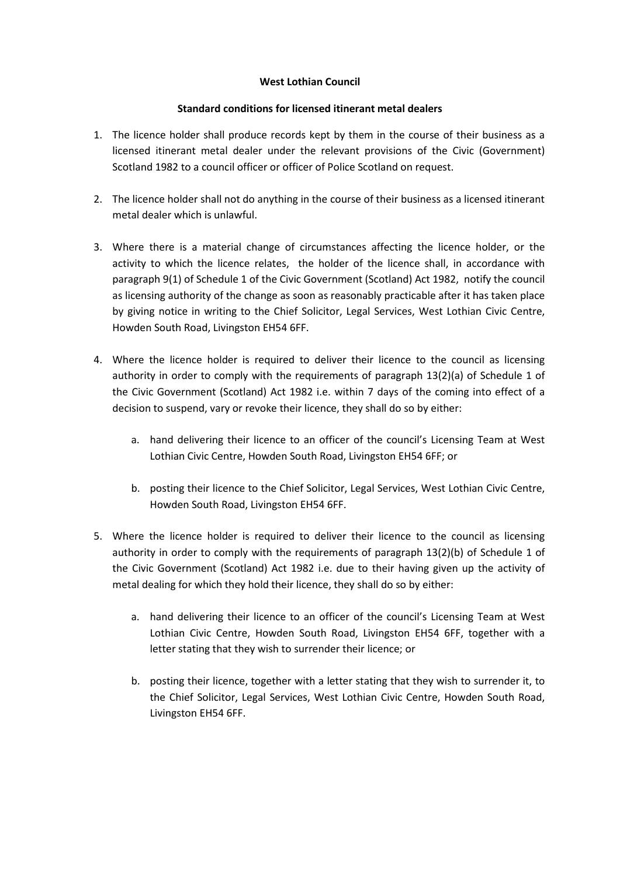## **West Lothian Council**

## **Standard conditions for licensed itinerant metal dealers**

- 1. The licence holder shall produce records kept by them in the course of their business as a licensed itinerant metal dealer under the relevant provisions of the Civic (Government) Scotland 1982 to a council officer or officer of Police Scotland on request.
- 2. The licence holder shall not do anything in the course of their business as a licensed itinerant metal dealer which is unlawful.
- 3. Where there is a material change of circumstances affecting the licence holder, or the activity to which the licence relates, the holder of the licence shall, in accordance with paragraph 9(1) of Schedule 1 of the Civic Government (Scotland) Act 1982, notify the council as licensing authority of the change as soon as reasonably practicable after it has taken place by giving notice in writing to the Chief Solicitor, Legal Services, West Lothian Civic Centre, Howden South Road, Livingston EH54 6FF.
- 4. Where the licence holder is required to deliver their licence to the council as licensing authority in order to comply with the requirements of paragraph 13(2)(a) of Schedule 1 of the Civic Government (Scotland) Act 1982 i.e. within 7 days of the coming into effect of a decision to suspend, vary or revoke their licence, they shall do so by either:
	- a. hand delivering their licence to an officer of the council's Licensing Team at West Lothian Civic Centre, Howden South Road, Livingston EH54 6FF; or
	- b. posting their licence to the Chief Solicitor, Legal Services, West Lothian Civic Centre, Howden South Road, Livingston EH54 6FF.
- 5. Where the licence holder is required to deliver their licence to the council as licensing authority in order to comply with the requirements of paragraph 13(2)(b) of Schedule 1 of the Civic Government (Scotland) Act 1982 i.e. due to their having given up the activity of metal dealing for which they hold their licence, they shall do so by either:
	- a. hand delivering their licence to an officer of the council's Licensing Team at West Lothian Civic Centre, Howden South Road, Livingston EH54 6FF, together with a letter stating that they wish to surrender their licence; or
	- b. posting their licence, together with a letter stating that they wish to surrender it, to the Chief Solicitor, Legal Services, West Lothian Civic Centre, Howden South Road, Livingston EH54 6FF.